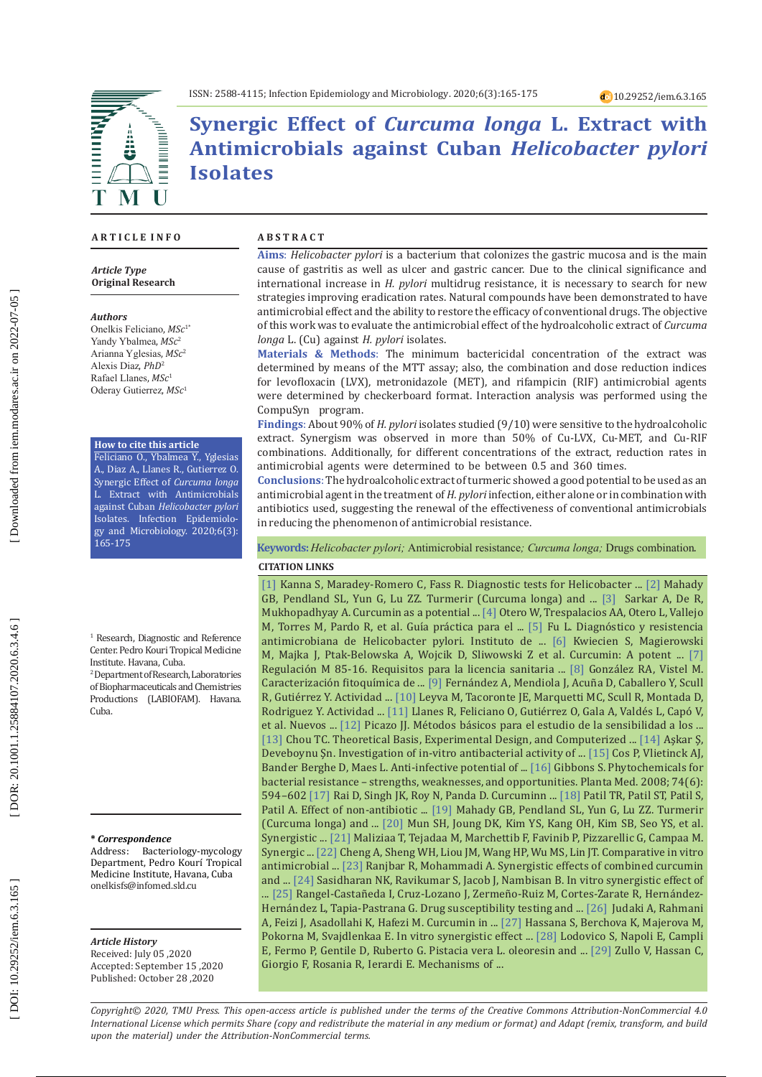

**Synergic Effect of** *Curcuma longa* **L. Extract with Antimicrobials against Cuban** *Helicobacter pylori* **Isolates** 

#### **A R T I C L E I N F O**

*Article Type* **Original Research**

#### *Authors*

Onelkis Feliciano, *MSc*1\* Yandy Ybalmea, *MSc* 2 Arianna Yglesias, *MSc* 2 Alexis Diaz, *PhD* 2 Rafael Llanes, *MSc* 1 Oderay Gutierrez, *MSc* 1

#### **How to cite this article**

Feliciano O., Ybalmea Y., Yglesias A., Diaz A., Llanes R., Gutierrez O. Synergic Effect of *Curcuma longa* Extract with Antimicrobials against Cuban *Helicobacter pylori*  Isolates. Infection Epidemiolo gy and Microbiology. 2020;6(3): 165-175

1 Research, Diagnostic and Reference Center. Pedro Kouri Tropical Medicine Institute. Havana, Cuba.

2 Department of Research, Laboratories of Biopharmaceuticals and Chemistries Productions (LABIOFAM). Havana. Cuba.

**\*** *Correspondence*

Address: Bacteriology-mycology Department, Pedro Kourí Tropical Medicine Institute, Havana, Cuba onelkisfs@infomed.sld.cu

### *Article History*

Received: July 05 ,2020 Accepted: September 15 ,2020 Published: October 28 ,2020

#### **A B S T R A C T**

**Aims** : *Helicobacter pylori* is a bacterium that colonizes the gastric mucosa and is the main cause of gastritis as well as ulcer and gastric cancer. Due to the clinical significance and international increase in *H. pylori* multidrug resistance, it is necessary to search for new strategies improving eradication rates. Natural compounds have been demonstrated to have antimicrobial effect and the ability to restore the efficacy of conventional drugs. The objective of this work was to evaluate the antimicrobial effect of the hydroalcoholic extract of *Curcuma longa* L. (Cu) against *H. pylori* isolates.

**Materials & Methods** : The minimum bactericidal concentration of the extract was determined by means of the MTT assay; also, the combination and dose reduction indices for levofloxacin (LVX), metronidazole (MET), and rifampicin (RIF) antimicrobial agents were determined by checkerboard format. Interaction analysis was performed using the CompuSyn program.

**Findings** : About 90% of *H. pylori* isolates studied (9/10) were sensitive to the hydroalcoholic extract. Synergism was observed in more than 50% of Cu-LVX, Cu-MET, and Cu-RIF combinations. Additionally, for different concentrations of the extract, reduction rates in antimicrobial agents were determined to be between 0.5 and 360 times.

**Conclusions** : The hydroalcoholic extract of turmeric showed a good potential to be used as an antimicrobial agent in the treatment of *H. pylori* infection, either alone or in combination with antibiotics used, suggesting the renewal of the effectiveness of conventional antimicrobials in reducing the phenomenon of antimicrobial resistance.

**CITATION LINKS Keywords:***Helicobacter pylori;* Antimicrobial resistance*; Curcuma longa;* Drugs combination .

[\[1\]](https://www.gastroendonews.com/download/Hpylori_GENSE13_WM.pdf) Kanna S, Maradey-Romero C, Fass R. Diagnostic tests for Helicobacter ... [\[2\]](https://europepmc.org/article/med/12553052) Mahady GB, Pendland SL, Yun G, Lu ZZ. Turmerir (Curcuma longa) and ... [\[3\]](https://www.ncbi.nlm.nih.gov/pmc/articles/PMC4777996/) Sarkar A, De R, Mukhopadhyay A. Curcumin as a potential ... [\[4\]](https://www.redalyc.org/pdf/3377/337744269004.pdf) Otero W, Trespalacios AA, Otero L, Vallejo M, Torres M, Pardo R, et al. Guí�a práctica para el ... [\[5\]](https://www.ncbi.nlm.nih.gov/pmc/articles/PMC2980873/) Fu L. Diagnóstico y resistencia antimicrobiana de Helicobacter pylori. Instituto de ... [\[6\]](https://www.mdpi.com/1422-0067/20/6/1477) Kwiecien S, Magierowski M, Majka J, Ptak-Belowska A, Wojcik D, Sliwowski Z et al. Curcumin: A potent ... [\[7\]](https://www.cecmed.cu/sites/default/files/adjuntos/Reglamentacion/regulacion_m_85-16.pdf)  Regulación M 85-16. Requisitos para la licencia sanitaria ... [\[8\]](http://scielo.sld.cu/scielo.php?pid=S2224-54212015000100001&script=sci_arttext&tlng=en) González RA, Vistel M. Caracterización fitoquímica de ... [\[9\]](http://scielo.sld.cu/scielo.php?pid=S0375-07602011000100008&script=sci_arttext&tlng=pt) Fernández A, Mendiola J, Acuña D, Caballero Y, Scull R, Gutiérrez Y. Actividad ... [\[10\]](http://scielo.sld.cu/scielo.php?script=sci_arttext&pid=S0375-07602008000100012) Leyva M, Tacoronte JE, Marquetti MC, Scull R, Montada D, Rodriguez Y. Actividad ... [\[11\]](http://revistaccuba.sld.cu/index.php/revacc/article/view/192) Llanes R, Feliciano O, Gutiérrez O, Gala A, Valdés L, Capó V, et al. Nuevos ... [\[12\]](http://coesant-seimc.org/documents/M%C3%A9todosEspeciales_Sensibilidad.pdf) Picazo JJ. Métodos básicos para el estudio de la sensibilidad a los ... [\[13\]](http://pharmrev.aspetjournals.org/content/58/3/621.short) Chou TC. Theoretical Basis, Experimental Design, and Computerized ... [\[14\]](https://dergipark.org.tr/en/pub/avrasyasbd/issue/37987/438861) Aşkar Ş, Deveboynu Şn. Investigation of in-vitro antibacterial activity of ... [\[15\]](https://www.sciencedirect.com/science/article/pii/S0378874106001851) Cos P, Vlietinck AJ, Bander Berghe D, Maes L. Anti-infective potential of ... [\[16\]](https://pdfs.semanticscholar.org/8e30/17852518adc612c488b1fb64f1e762e925d1.pdf) Gibbons S. Phytochemicals for bacterial resistance – strengths, weaknesses, and opportunities. Planta Med. 2008; 74(6): 594–602 [\[17\]](https://portlandpress.com/biochemj/article-abstract/410/1/147/43490) Rai D, Singh JK, Roy N, Panda D. Curcuminn ... [\[18\]](https://medwinpublishers.com/IPCM/IPCM16000150.pdf) Patil TR, Patil ST, Patil S, Patil A. Effect of non-antibiotic ... [\[19\]](https://europepmc.org/article/med/12553052) Mahady GB, Pendland SL, Yun G, Lu ZZ. Turmerir (Curcuma longa) and ... [\[20\]](https://www.sciencedirect.com/science/article/pii/S0944711313000780) Mun SH, Joung DK, Kim YS, Kang OH, Kim SB, Seo YS, et al. Synergistic ... [\[21\]](https://academic.oup.com/jac/article-abstract/41/suppl_2/29/828012) Maliziaa T, Tejadaa M, Marchettib F, Favinib P, Pizzarellic G, Campaa M. Synergic ... [\[22\]](https://www.sciencedirect.com/science/article/pii/S168411821200182X) Cheng A, Sheng WH, Liou JM, Wang HP, Wu MS, Lin JT. Comparative in vitro antimicrobial ... [\[23\]](https://www.biomedres.info/biomedical-research/synergistic-effects-of-combined-curcumin-and-antibiotic-in-ameliorating-an-animal-model-of-helicobacter-pylori-infection-10153.html) Ranjbar R, Mohammadi A. Synergistic effects of combined curcumin and ... [\[24\]](https://www.hindawi.com/journals/bmri/2014/561456/abs/) Sasidharan NK, Ravikumar S, Jacob J, Nambisan B. In vitro synergistic effect of ... [\[25\]](https://www.mdpi.com/2079-6382/8/2/43) Rangel-Castañeda I, Cruz-Lozano J, Zermeño-Ruiz M, Cortes-Zarate R, Hernández-Hernández L, Tapia-Pastrana G. Drug susceptibility testing and ... [\[26\]](https://www.scielo.br/scielo.php?pid=S0004-28032017000300177&script=sci_arttext&tlng=pt) Judaki A, Rahmani A, Feizi J, Asadollahi K, Hafezi M. Curcumin in ... [\[27\]](https://www.tandfonline.com/doi/abs/10.3109/13880209.2015.1126618) Hassana S, Berchova K, Majerova M, Pokorna M, Svajdlenkaa E. In vitro synergistic effect ... [\[28\]](https://www.nature.com/articles/s41598-019-40991-y) Lodovico S, Napoli E, Campli E, Fermo P, Gentile D, Ruberto G. Pistacia vera L. oleoresin and ... [\[29\]](https://www.ncbi.nlm.nih.gov/pmc/articles/PMC3158889/) Zullo V, Hassan C, Giorgio F, Rosania R, Ierardi E. Mechanisms of ...

*Copyright© 2020, TMU Press. This open-access article is published under the terms of the Creative Commons Attribution-NonCommercial 4.0 International License which permits Share (copy and redistribute the material in any medium or format) and Adapt (remix, transform, and build upon the material) under the Attribution-NonCommercial terms.*

DOR: 20.1001.1.25884107.2020.6.3.4.6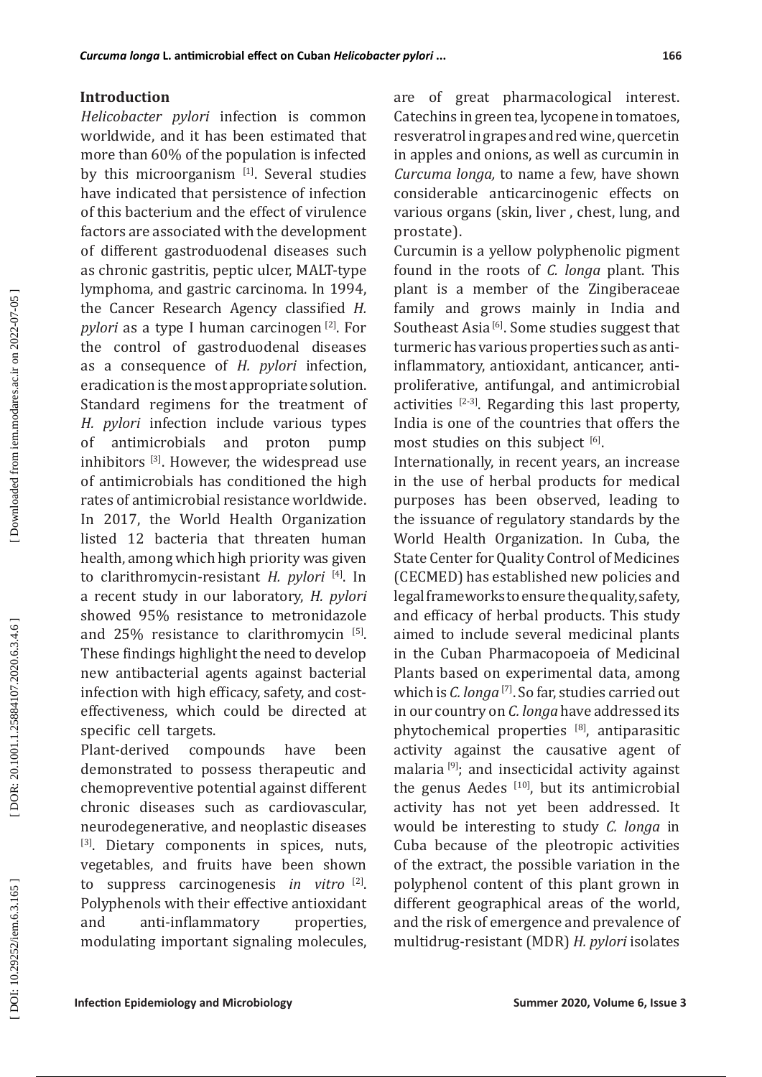# **Introduction**

*Helicobacter pylori* infection is common worldwide, and it has been estimated that more than 60% of the population is infected by this microorganism [1]. Several studies have indicated that persistence of infection of this bacterium and the effect of virulence factors are associated with the development of different gastroduodenal diseases such as chronic gastritis, peptic ulcer, MALT-type lymphoma, and gastric carcinoma. In 1994, the Cancer Research Agency classified *H. pylori* as a type I human carcinogen<sup>[2]</sup>. For the control of gastroduodenal diseases as a consequence of *H. pylori* infection, eradication is the most appropriate solution. Standard regimens for the treatment of *H. pylori* infection include various types of antimicrobials and proton pump inhibitors [3]. However, the widespread use of antimicrobials has conditioned the high rates of antimicrobial resistance worldwide. In 2017, the World Health Organization listed 12 bacteria that threaten human health, among which high priority was given to clarithromycin-resistant *H. pylori* [4]. In a recent study in our laboratory, *H. pylori* showed 95% resistance to metronidazole and  $25\%$  resistance to clarithromycin  $[5]$ . These findings highlight the need to develop new antibacterial agents against bacterial infection with high efficacy, safety, and costeffectiveness, which could be directed at specific cell targets.<br>Plant-derived compounds

Plant-derived compounds have been demonstrated to possess therapeutic and chemopreventive potential against different chronic diseases such as cardiovascular, neurodegenerative, and neoplastic diseases [3]. Dietary components in spices, nuts, vegetables, and fruits have been shown to suppress carcinogenesis *in vitro* [2]. Polyphenols with their effective antioxidant and anti-inflammatory properties, modulating important signaling molecules,

are of great pharmacological interest. Catechins in green tea, lycopene in tomatoes, resveratrol in grapes and red wine, quercetin in apples and onions, as well as curcumin in *Curcuma longa,* to name a few, have shown considerable anticarcinogenic effects on various organs (skin, liver , chest, lung, and prostate).

Curcumin is a yellow polyphenolic pigment found in the roots of *C. longa* plant. This plant is a member of the Zingiberaceae family and grows mainly in India and Southeast Asia<sup>[6]</sup>. Some studies suggest that turmeric has various properties such as antiinflammatory, antioxidant, anticancer, antiproliferative, antifungal, and antimicrobial activities  $[2-3]$ . Regarding this last property, India is one of the countries that offers the most studies on this subject [6].

Internationally, in recent years, an increase in the use of herbal products for medical purposes has been observed, leading to the issuance of regulatory standards by the World Health Organization. In Cuba, the State Center for Quality Control of Medicines (CECMED) has established new policies and legal frameworks to ensure the quality, safety, and efficacy of herbal products. This study aimed to include several medicinal plants in the Cuban Pharmacopoeia of Medicinal Plants based on experimental data, among which is *C. longa* [7]. So far, studies carried out in our country on *C. longa* have addressed its phytochemical properties [8], antiparasitic activity against the causative agent of malaria [9]; and insecticidal activity against the genus Aedes  $[10]$ , but its antimicrobial activity has not yet been addressed. It would be interesting to study *C. longa* in Cuba because of the pleotropic activities of the extract, the possible variation in the polyphenol content of this plant grown in different geographical areas of the world, and the risk of emergence and prevalence of multidrug-resistant (MDR) *H. pylori* isolates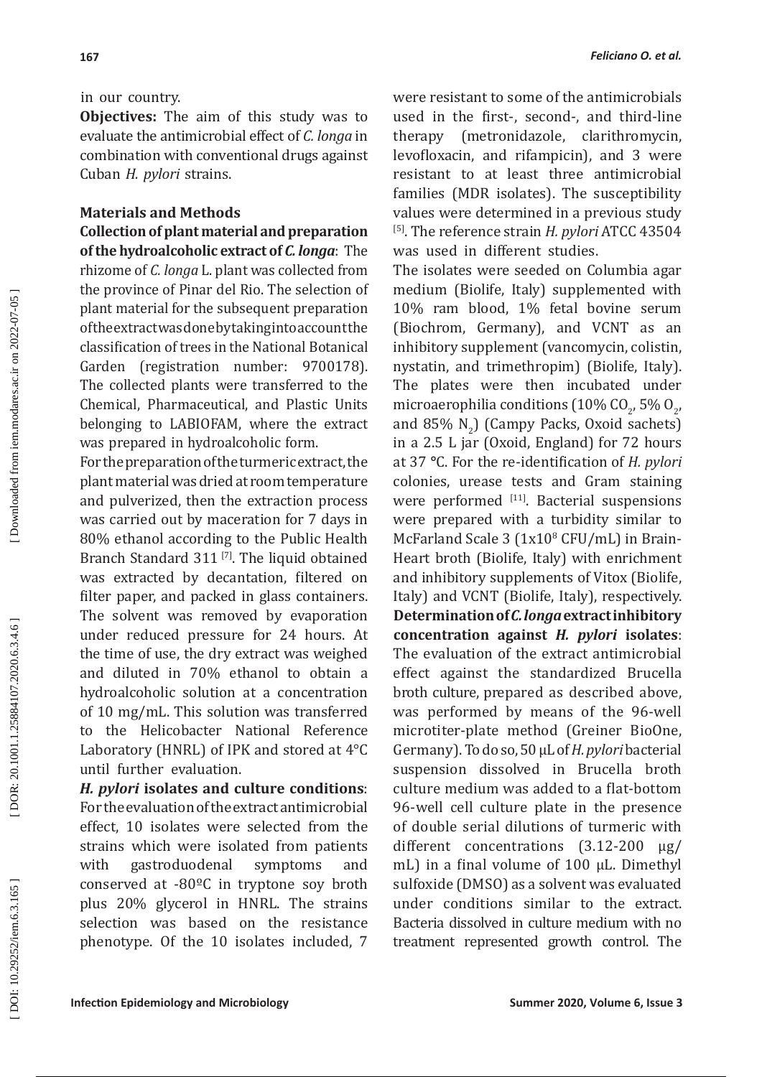**167**

**Objectives:** The aim of this study was to evaluate the antimicrobial effect of *C. longa* in combination with conventional drugs against Cuban *H. pylori* strains.

## **Materials and Methods**

**Collection of plant material and preparation of the hydroalcoholic extract of** *C. longa*: The rhizome of *C. longa* L. plant was collected from the province of Pinar del Rio. The selection of plant material for the subsequent preparation of the extract was done by taking into account the classification of trees in the National Botanical Garden (registration number: 9700178). The collected plants were transferred to the Chemical, Pharmaceutical, and Plastic Units belonging to LABIOFAM, where the extract was prepared in hydroalcoholic form.

For the preparation of the turmeric extract, the plant material was dried at room temperature and pulverized, then the extraction process was carried out by maceration for 7 days in 80% ethanol according to the Public Health Branch Standard 311<sup>[7]</sup>. The liquid obtained was extracted by decantation, filtered on filter paper, and packed in glass containers. The solvent was removed by evaporation under reduced pressure for 24 hours. At the time of use, the dry extract was weighed and diluted in 70% ethanol to obtain a hydroalcoholic solution at a concentration of 10 mg/mL. This solution was transferred to the Helicobacter National Reference Laboratory (HNRL) of IPK and stored at 4°C until further evaluation.

*H. pylori* **isolates and culture conditions**: For the evaluation of the extract antimicrobial effect, 10 isolates were selected from the strains which were isolated from patients with gastroduodenal symptoms and conserved at -80ºC in tryptone soy broth plus 20% glycerol in HNRL. The strains selection was based on the resistance phenotype. Of the 10 isolates included, 7

were resistant to some of the antimicrobials used in the first-, second-, and third-line therapy (metronidazole, clarithromycin, levofloxacin, and rifampicin), and 3 were resistant to at least three antimicrobial families (MDR isolates). The susceptibility values were determined in a previous study [5]. The reference strain *H. pylori* ATCC 43504 was used in different studies.

The isolates were seeded on Columbia agar medium (Biolife, Italy) supplemented with 10% ram blood, 1% fetal bovine serum (Biochrom, Germany), and VCNT as an inhibitory supplement (vancomycin, colistin, nystatin, and trimethropim) (Biolife, Italy). The plates were then incubated under microaerophilia conditions (10%  $CO_{2'}$ , 5%  $O_{2'}$ and 85%  $N_2$ ) (Campy Packs, Oxoid sachets) 2 in a 2.5 L jar (Oxoid, England) for 72 hours at 37 **°**C. For the re-identification of *H. pylori* colonies, urease tests and Gram staining were performed [11]. Bacterial suspensions were prepared with a turbidity similar to McFarland Scale 3 (1x10 8 CFU/mL) in Brain-Heart broth (Biolife, Italy) with enrichment and inhibitory supplements of Vitox (Biolife, Italy) and VCNT (Biolife, Italy), respectively. **Determination of** *C. longa* **extract inhibitory concentration against** *H. pylori* **isolates** : The evaluation of the extract antimicrobial effect against the standardized Brucella broth culture, prepared as described above, was performed by means of the 96-well microtiter-plate method (Greiner BioOne, Germany). To do so, 50 μL of *H. pylori* bacterial suspension dissolved in Brucella broth culture medium was added to a flat-bottom 96-well cell culture plate in the presence of double serial dilutions of turmeric with different concentrations (3.12-200 µg/ mL) in a final volume of 100 µL. Dimethyl sulfoxide (DMSO) as a solvent was evaluated under conditions similar to the extract. Bacteria dissolved in culture medium with no treatment represented growth control. The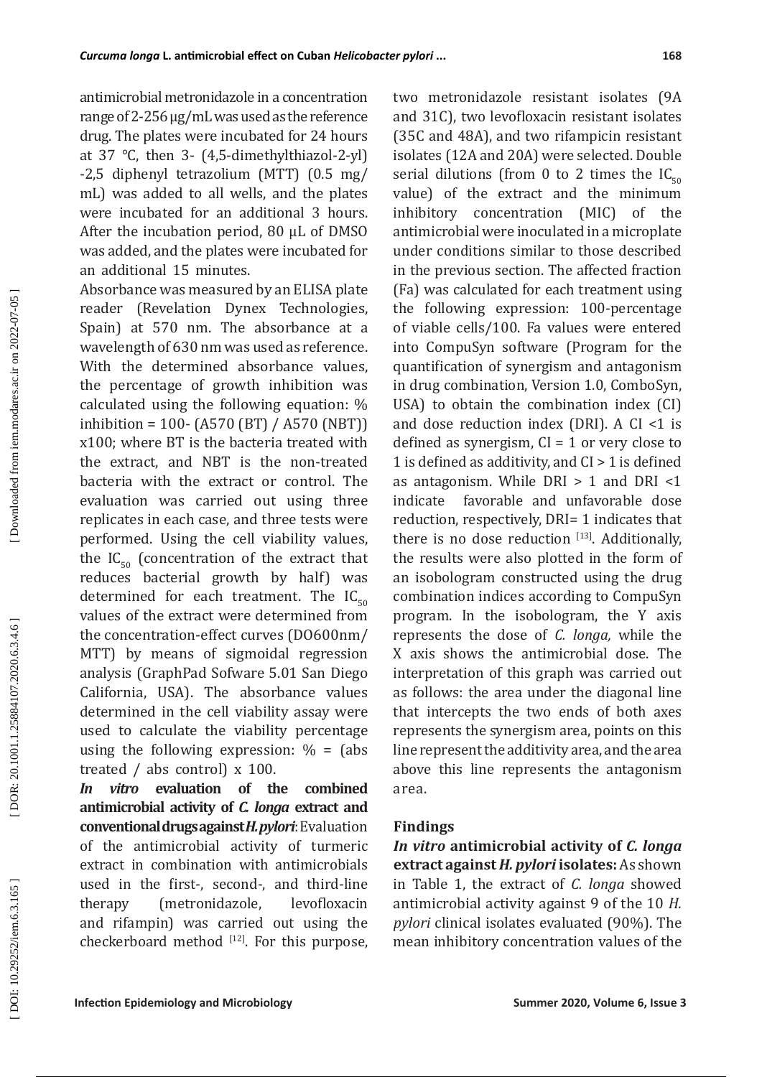antimicrobial metronidazole in a concentration range of 2-256 µg/mL was used as the reference drug. The plates were incubated for 24 hours at 37 °C, then 3- (4,5-dimethylthiazol-2-yl) -2,5 diphenyl tetrazolium (MTT) (0.5 mg/ mL) was added to all wells, and the plates were incubated for an additional 3 hours. After the incubation period, 80 µL of DMSO was added, and the plates were incubated for an additional 15 minutes.

Absorbance was measured by an ELISA plate reader (Revelation Dynex Technologies, Spain) at 570 nm. The absorbance at a wavelength of 630 nm was used as reference. With the determined absorbance values, the percentage of growth inhibition was calculated using the following equation: % inhibition = 100- (A570 (BT) / A570 (NBT)) x100; where BT is the bacteria treated with the extract, and NBT is the non-treated bacteria with the extract or control. The evaluation was carried out using three replicates in each case, and three tests were performed. Using the cell viability values, the  $IC_{50}$  (concentration of the extract that reduces bacterial growth by half) was determined for each treatment. The  $IC_{50}$ values of the extract were determined from the concentration-effect curves (DO600nm/ MTT) by means of sigmoidal regression analysis (GraphPad Sofware 5.01 San Diego California, USA). The absorbance values determined in the cell viability assay were used to calculate the viability percentage using the following expression:  $\% =$  (abs treated / abs control) x 100.

*In vitro* **evaluation of the combined antimicrobial activity of** *C. longa* **extract and conventional drugs against** *H. pylori*: Evaluation of the antimicrobial activity of turmeric extract in combination with antimicrobials used in the first-, second-, and third-line therapy (metronidazole, levofloxacin and rifampin) was carried out using the checkerboard method  $[12]$ . For this purpose,

two metronidazole resistant isolates (9A and 31C), two levofloxacin resistant isolates (35C and 48A), and two rifampicin resistant isolates (12A and 20A) were selected. Double serial dilutions (from 0 to 2 times the  $IC_{\epsilon_0}$ value) of the extract and the minimum inhibitory concentration (MIC) of the antimicrobial were inoculated in a microplate under conditions similar to those described in the previous section. The affected fraction (Fa) was calculated for each treatment using the following expression: 100-percentage of viable cells/100. Fa values were entered into CompuSyn software (Program for the quantification of synergism and antagonism in drug combination, Version 1.0, ComboSyn, USA) to obtain the combination index (CI) and dose reduction index (DRI). A  $CI < 1$  is defined as synergism,  $CI = 1$  or very close to 1 is defined as additivity, and CI > 1 is defined as antagonism. While DRI > 1 and DRI <1 indicate favorable and unfavorable dose reduction, respectively, DRI= 1 indicates that there is no dose reduction  $[13]$ . Additionally, the results were also plotted in the form of an isobologram constructed using the drug combination indices according to CompuSyn program. In the isobologram, the Y axis represents the dose of *C. longa,* while the X axis shows the antimicrobial dose. The interpretation of this graph was carried out as follows: the area under the diagonal line that intercepts the two ends of both axes represents the synergism area, points on this line represent the additivity area, and the area above this line represents the antagonism area.

### **Findings**

*In vitro* **antimicrobial activity of** *C. longa* **extract against** *H. pylori* **isolates:** As shown in Table 1, the extract of *C. longa* showed antimicrobial activity against 9 of the 10 *H. pylori* clinical isolates evaluated (90%). The mean inhibitory concentration values of the

DOI: 10.29252/iem.6.3.165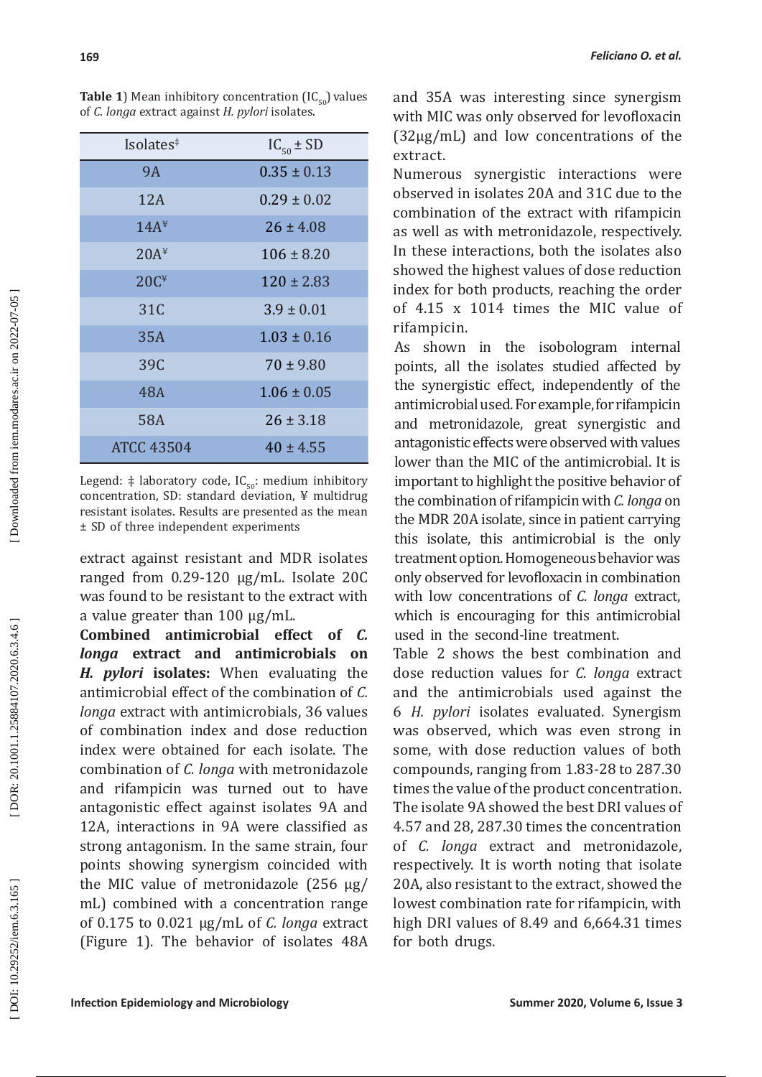| Isolates <sup>‡</sup> | $IC_{50} \pm SD$ |  |  |
|-----------------------|------------------|--|--|
| <b>9A</b>             | $0.35 \pm 0.13$  |  |  |
| 12A                   | $0.29 \pm 0.02$  |  |  |
| 14A <sup>4</sup>      | $26 \pm 4.08$    |  |  |
| 20A <sup>4</sup>      | $106 \pm 8.20$   |  |  |
| 20C <sup>4</sup>      | $120 \pm 2.83$   |  |  |
| 31C                   | $3.9 \pm 0.01$   |  |  |
| 35A                   | $1.03 \pm 0.16$  |  |  |
| 39C                   | $70 \pm 9.80$    |  |  |
| 48A                   | $1.06 \pm 0.05$  |  |  |
| <b>58A</b>            | $26 \pm 3.18$    |  |  |
| <b>ATCC 43504</b>     | $40 \pm 4.55$    |  |  |

**Table 1**) Mean inhibitory concentration  $[IC_{50}]$  values of *C. longa* extract against *H. pylori* isolates.

Legend:  $\ddagger$  laboratory code, IC<sub>50</sub>: medium inhibitory concentration, SD: standard deviation, ¥ multidrug resistant isolates. Results are presented as the mean ± SD of three independent experiments

extract against resistant and MDR isolates ranged from 0.29-120 µg/mL. Isolate 20C was found to be resistant to the extract with a value greater than 100 µg/mL.

**Combined antimicrobial effect of** *C. longa* **extract and antimicrobials on**  *H. pylori* **isolates:** When evaluating the antimicrobial effect of the combination of *C. longa* extract with antimicrobials, 36 values of combination index and dose reduction index were obtained for each isolate. The combination of *C. longa* with metronidazole and rifampicin was turned out to have antagonistic effect against isolates 9A and 12A, interactions in 9A were classified as strong antagonism. In the same strain, four points showing synergism coincided with the MIC value of metronidazole (256 µg/ mL) combined with a concentration range of 0.175 to 0.021 µg/mL of *C. longa* extract (Figure 1). The behavior of isolates 48A

and 35A was interesting since synergism with MIC was only observed for levofloxacin (32µg/mL) and low concentrations of the extract.

Numerous synergistic interactions were observed in isolates 20A and 31C due to the combination of the extract with rifampicin as well as with metronidazole, respectively. In these interactions, both the isolates also showed the highest values of dose reduction index for both products, reaching the order of 4.15 x 1014 times the MIC value of rifampicin.

As shown in the isobologram internal points, all the isolates studied affected by the synergistic effect, independently of the antimicrobial used. For example, for rifampicin and metronidazole, great synergistic and antagonistic effects were observed with values lower than the MIC of the antimicrobial. It is important to highlight the positive behavior of the combination of rifampicin with *C. longa* on the MDR 20A isolate, since in patient carrying this isolate, this antimicrobial is the only treatment option. Homogeneous behavior was only observed for levofloxacin in combination with low concentrations of *C. longa* extract, which is encouraging for this antimicrobial used in the second-line treatment.

Table 2 shows the best combination and dose reduction values for *C. longa* extract and the antimicrobials used against the 6 *H. pylori* isolates evaluated. Synergism was observed, which was even strong in some, with dose reduction values of both compounds, ranging from 1.83-28 to 287.30 times the value of the product concentration. The isolate 9A showed the best DRI values of 4.57 and 28, 287.30 times the concentration of *C. longa* extract and metronidazole, respectively. It is worth noting that isolate 20A, also resistant to the extract, showed the lowest combination rate for rifampicin, with high DRI values of 8.49 and 6,664.31 times for both drugs.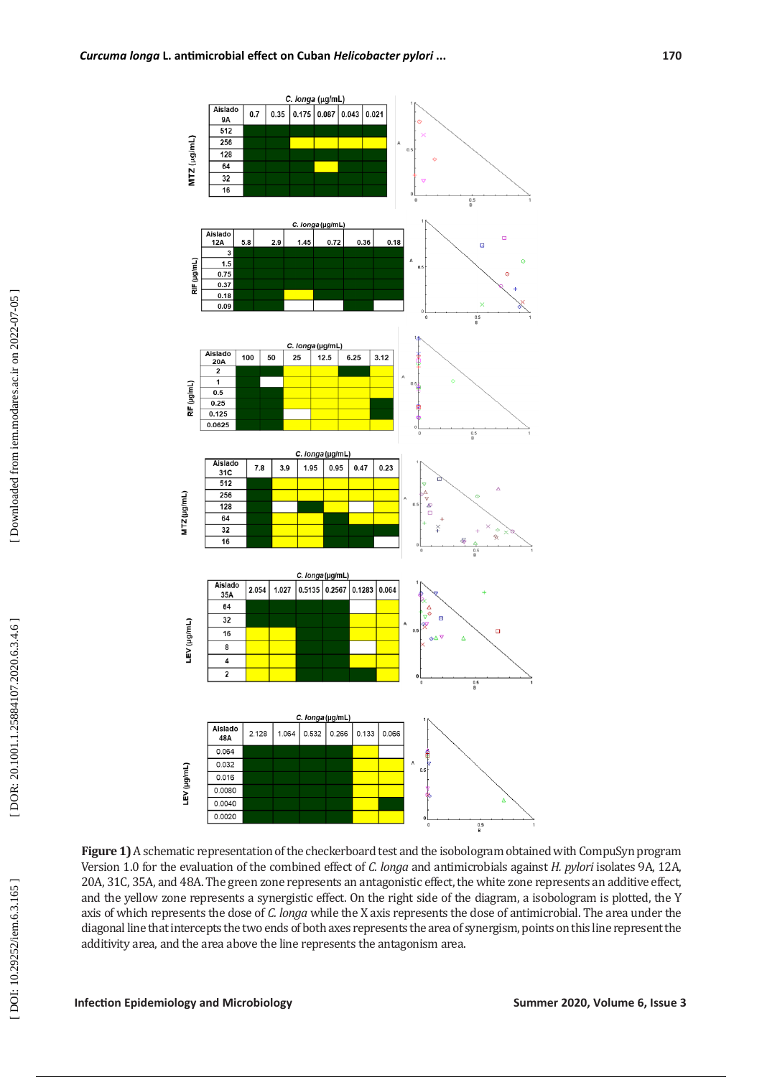

**Figure 1)** A schematic representation of the checkerboard test and the isobologram obtained with CompuSyn program Version 1.0 for the evaluation of the combined effect of *C. longa* and antimicrobials against *H. pylori* isolates 9A, 12A, 20A, 31C, 35A, and 48A. The green zone represents an antagonistic effect, the white zone represents an additive effect, and the yellow zone represents a synergistic effect. On the right side of the diagram, a isobologram is plotted, the Y axis of which represents the dose of *C. longa* while the X axis represents the dose of antimicrobial. The area under the diagonal line that intercepts the two ends of both axes represents the area of synergism, points on this line represent the additivity area, and the area above the line represents the antagonism area.

DOI: 10.29252/iem.6.3.165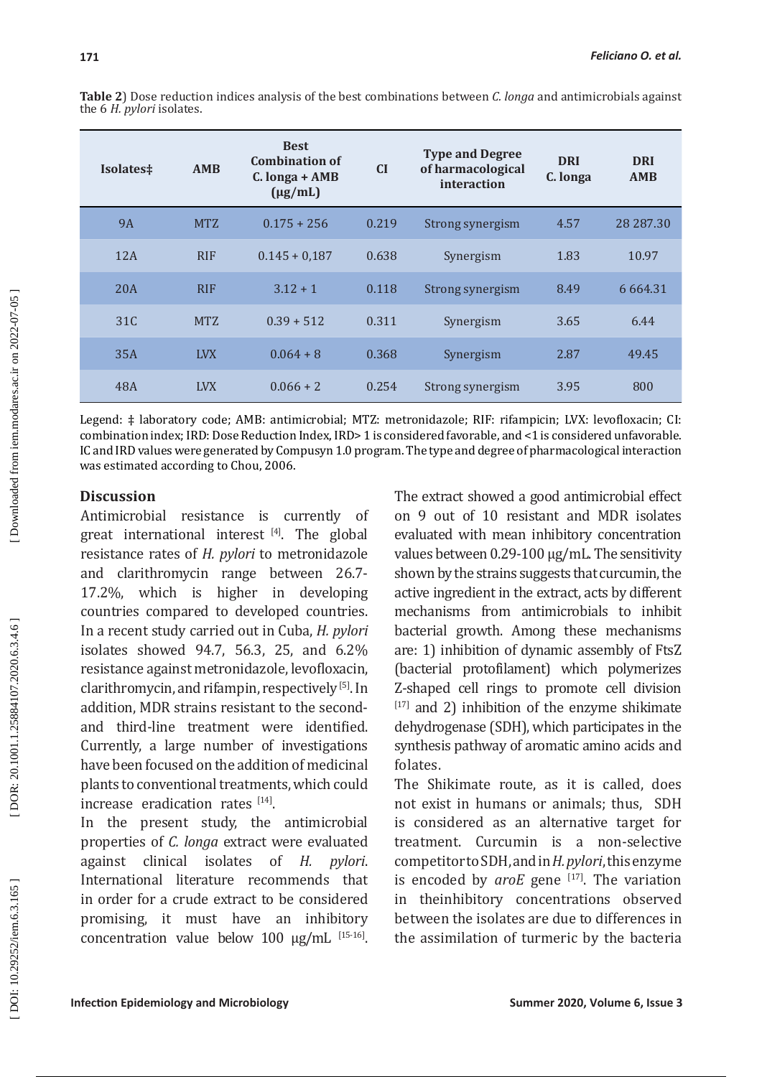| Isolates‡ | <b>AMB</b> | <b>Best</b><br><b>Combination of</b><br>$C. longa + AMB$<br>$(\mu g/mL)$ | CI    | <b>Type and Degree</b><br>of harmacological<br>interaction | <b>DRI</b><br>C. longa | <b>DRI</b><br><b>AMB</b> |
|-----------|------------|--------------------------------------------------------------------------|-------|------------------------------------------------------------|------------------------|--------------------------|
| <b>9A</b> | <b>MTZ</b> | $0.175 + 256$                                                            | 0.219 | Strong synergism                                           | 4.57                   | 28 28 7.30               |
| 12A       | <b>RIF</b> | $0.145 + 0.187$                                                          | 0.638 | Synergism                                                  | 1.83                   | 10.97                    |
| 20A       | <b>RIF</b> | $3.12 + 1$                                                               | 0.118 | Strong synergism                                           | 8.49                   | 6 6 6 4 .31              |
| 31C       | <b>MTZ</b> | $0.39 + 512$                                                             | 0.311 | Synergism                                                  | 3.65                   | 6.44                     |
| 35A       | <b>LVX</b> | $0.064 + 8$                                                              | 0.368 | Synergism                                                  | 2.87                   | 49.45                    |
| 48A       | <b>LVX</b> | $0.066 + 2$                                                              | 0.254 | Strong synergism                                           | 3.95                   | 800                      |

**Table 2**) Dose reduction indices analysis of the best combinations between *C. longa* and antimicrobials against the 6 *H. pylori* isolates.

Legend: ‡ laboratory code; AMB: antimicrobial; MTZ: metronidazole; RIF: rifampicin; LVX: levofloxacin; CI: combination index; IRD: Dose Reduction Index, IRD> 1 is considered favorable, and <1 is considered unfavorable. IC and IRD values were generated by Compusyn 1.0 program. The type and degree of pharmacological interaction was estimated according to Chou, 2006.

# **Discussion**

Antimicrobial resistance is currently of great international interest  $[4]$ . The global resistance rates of *H. pylori* to metronidazole and clarithromycin range between 26.7- 17.2%, which is higher in developing countries compared to developed countries. In a recent study carried out in Cuba, *H. pylori* isolates showed 94.7, 56.3, 25, and 6.2% resistance against metronidazole, levofloxacin, clarithromycin, and rifampin, respectively [5]. In addition, MDR strains resistant to the secondand third-line treatment were identified. Currently, a large number of investigations have been focused on the addition of medicinal plants to conventional treatments, which could increase eradication rates  $[14]$ .

In the present study, the antimicrobial properties of *C. longa* extract were evaluated against clinical isolates of *H. pylori*. International literature recommends that in order for a crude extract to be considered promising, it must have an inhibitory concentration value below 100 µg/mL [15-16].

The extract showed a good antimicrobial effect on 9 out of 10 resistant and MDR isolates evaluated with mean inhibitory concentration values between 0.29-100 µg/mL. The sensitivity shown by the strains suggests that curcumin, the active ingredient in the extract, acts by different mechanisms from antimicrobials to inhibit bacterial growth. Among these mechanisms are: 1) inhibition of dynamic assembly of FtsZ (bacterial protofilament) which polymerizes Z-shaped cell rings to promote cell division  $[17]$  and 2) inhibition of the enzyme shikimate dehydrogenase (SDH), which participates in the synthesis pathway of aromatic amino acids and folates.

The Shikimate route, as it is called, does not exist in humans or animals; thus, SDH is considered as an alternative target for treatment. Curcumin is a non-selective competitor to SDH, and in *H. pylori*, this enzyme is encoded by *aroE* gene <sup>[17]</sup>. The variation in theinhibitory concentrations observed between the isolates are due to differences in the assimilation of turmeric by the bacteria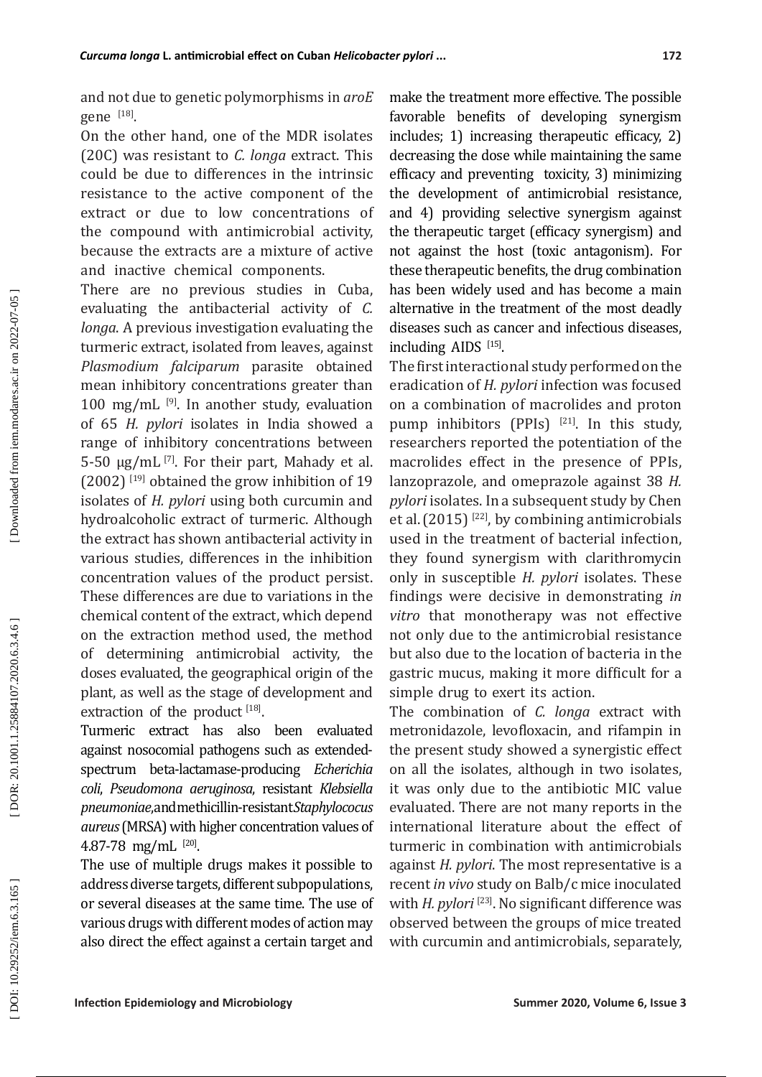and not due to genetic polymorphisms in *aroE* gene <sup>[18]</sup>.

On the other hand, one of the MDR isolates (20C) was resistant to *C. longa* extract. This could be due to differences in the intrinsic resistance to the active component of the extract or due to low concentrations of the compound with antimicrobial activity, because the extracts are a mixture of active and inactive chemical components.

There are no previous studies in Cuba, evaluating the antibacterial activity of *C. longa*. A previous investigation evaluating the turmeric extract, isolated from leaves, against *Plasmodium falciparum* parasite obtained mean inhibitory concentrations greater than 100 mg/mL  $^{[9]}$ . In another study, evaluation of 65 *H. pylori* isolates in India showed a range of inhibitory concentrations between 5-50  $\mu$ g/mL<sup>[7]</sup>. For their part, Mahady et al.  $(2002)$ <sup>[19]</sup> obtained the grow inhibition of 19 isolates of *H. pylori* using both curcumin and hydroalcoholic extract of turmeric. Although the extract has shown antibacterial activity in various studies, differences in the inhibition concentration values of the product persist. These differences are due to variations in the chemical content of the extract, which depend on the extraction method used, the method of determining antimicrobial activity, the doses evaluated, the geographical origin of the plant, as well as the stage of development and extraction of the product  $[18]$ .

Turmeric extract has also been evaluated against nosocomial pathogens such as extendedspectrum beta-lactamase-producing *Echerichia coli*, *Pseudomona aeruginosa*, resistant *Klebsiella pneumoniae*, and methicillin-resistant *Staphylococus aureus* (MRSA) with higher concentration values of  $4.87$ -78 mg/mL  $^{[20]}$ .

The use of multiple drugs makes it possible to address diverse targets, different subpopulations, or several diseases at the same time. The use of various drugs with different modes of action may also direct the effect against a certain target and

make the treatment more effective. The possible favorable benefits of developing synergism includes; 1) increasing therapeutic efficacy, 2) decreasing the dose while maintaining the same efficacy and preventing toxicity, 3) minimizing the development of antimicrobial resistance, and 4) providing selective synergism against the therapeutic target (efficacy synergism) and not against the host (toxic antagonism). For these therapeutic benefits, the drug combination has been widely used and has become a main alternative in the treatment of the most deadly diseases such as cancer and infectious diseases, including  $AIDS$  [15].

The first interactional study performed on the eradication of *H. pylori* infection was focused on a combination of macrolides and proton pump inhibitors (PPIs) [21]. In this study, researchers reported the potentiation of the macrolides effect in the presence of PPIs, lanzoprazole, and omeprazole against 38 *H. pylori* isolates. In a subsequent study by Chen et al.(2015) [22], by combining antimicrobials used in the treatment of bacterial infection, they found synergism with clarithromycin only in susceptible *H. pylori* isolates. These findings were decisive in demonstrating *in vitro* that monotherapy was not effective not only due to the antimicrobial resistance but also due to the location of bacteria in the gastric mucus, making it more difficult for a simple drug to exert its action.

The combination of *C. longa* extract with metronidazole, levofloxacin, and rifampin in the present study showed a synergistic effect on all the isolates, although in two isolates, it was only due to the antibiotic MIC value evaluated. There are not many reports in the international literature about the effect of turmeric in combination with antimicrobials against *H. pylori*. The most representative is a recent *in vivo* study on Balb/c mice inoculated with *H. pylori* <sup>[23]</sup>. No significant difference was observed between the groups of mice treated with curcumin and antimicrobials, separately,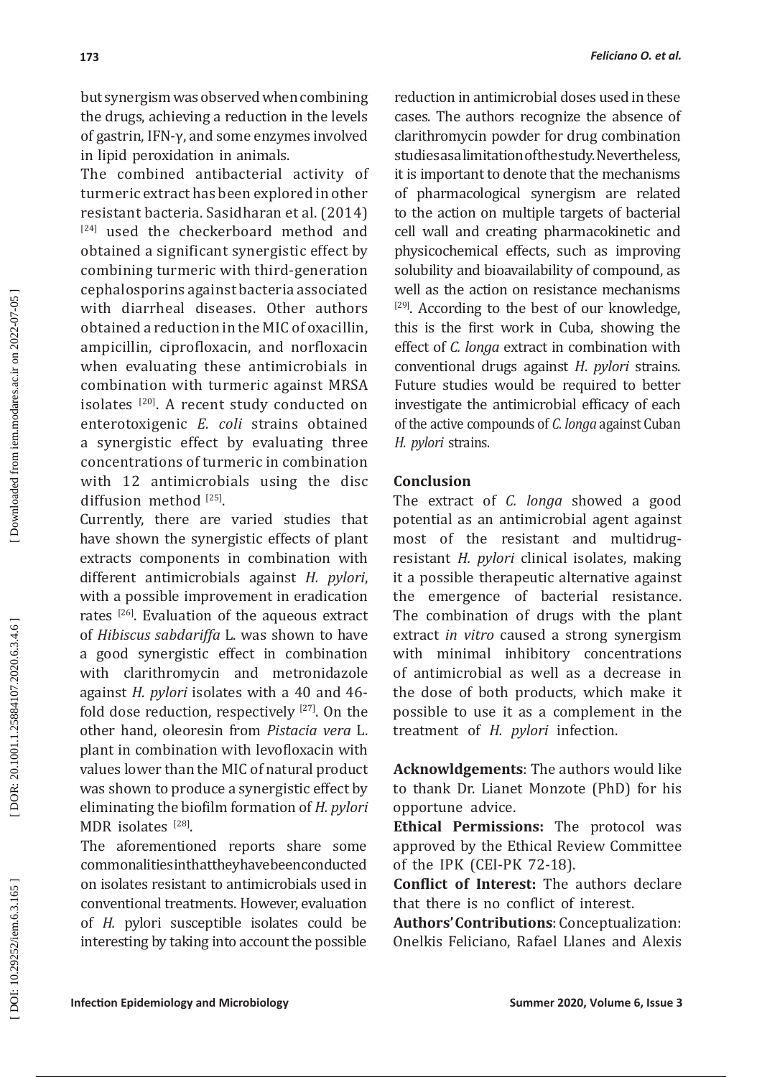but synergism was observed when combining the drugs, achieving a reduction in the levels of gastrin, IFN-γ, and some enzymes involved in lipid peroxidation in animals.

The combined antibacterial activity of turmeric extract has been explored in other resistant bacteria. Sasidharan et al. (2014) [24] used the checkerboard method and obtained a significant synergistic effect by combining turmeric with third-generation cephalosporins against bacteria associated with diarrheal diseases. Other authors obtained a reduction in the MIC of oxacillin, ampicillin, ciprofloxacin, and norfloxacin when evaluating these antimicrobials in combination with turmeric against MRSA isolates<sup>[20]</sup>. A recent study conducted on enterotoxigenic *E. coli* strains obtained a synergistic effect by evaluating three concentrations of turmeric in combination with 12 antimicrobials using the disc diffusion method  $^{[25]}$ .

Currently, there are varied studies that have shown the synergistic effects of plant extracts components in combination with different antimicrobials against *H. pylori*, with a possible improvement in eradication rates [26]. Evaluation of the aqueous extract of *Hibiscus sabdariffa* L. was shown to have a good synergistic effect in combination with clarithromycin and metronidazole against *H. pylori* isolates with a 40 and 46 fold dose reduction, respectively  $[27]$ . On the other hand, oleoresin from *Pistacia vera* L. plant in combination with levofloxacin with values lower than the MIC of natural product was shown to produce a synergistic effect by eliminating the biofilm formation of *H. pylori* MDR isolates  $^{[28]}$ .

The aforementioned reports share some commonalities in that they have been conducted on isolates resistant to antimicrobials used in conventional treatments. However, evaluation of *H.* pylori susceptible isolates could be interesting by taking into account the possible reduction in antimicrobial doses used in these cases. The authors recognize the absence of clarithromycin powder for drug combination studies as a limitation of the study. Nevertheless, it is important to denote that the mechanisms of pharmacological synergism are related to the action on multiple targets of bacterial cell wall and creating pharmacokinetic and physicochemical effects, such as improving solubility and bioavailability of compound, as well as the action on resistance mechanisms  $[29]$ . According to the best of our knowledge, this is the first work in Cuba, showing the effect of *C. longa* extract in combination with conventional drugs against *H*. *pylori* strains. Future studies would be required to better investigate the antimicrobial efficacy of each of the active compounds of *C. longa* against Cuban *H. pylori* strains.

# **Conclusion**

The extract of *C. longa* showed a good potential as an antimicrobial agent against most of the resistant and multidrugresistant *H. pylori* clinical isolates, making it a possible therapeutic alternative against the emergence of bacterial resistance. The combination of drugs with the plant extract *in vitro* caused a strong synergism with minimal inhibitory concentrations of antimicrobial as well as a decrease in the dose of both products, which make it possible to use it as a complement in the treatment of *H. pylori* infection.

**Acknowldgements**: The authors would like to thank Dr. Lianet Monzote (PhD) for his opportune advice.

**Ethical Permissions:** The protocol was approved by the Ethical Review Committee of the IPK (CEI-PK 72-18).

**Conflict of Interest:** The authors declare that there is no conflict of interest.

**Authors' Contributions**: Conceptualization: Onelkis Feliciano, Rafael Llanes and Alexis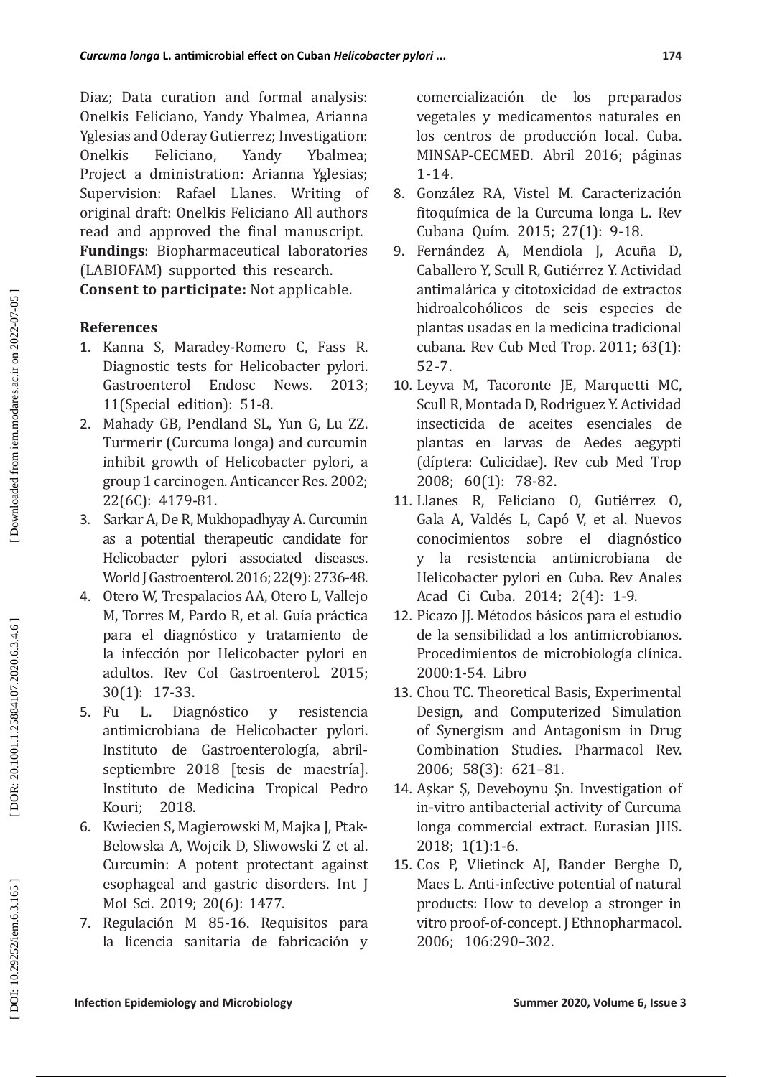Diaz; Data curation and formal analysis: Onelkis Feliciano, Yandy Ybalmea, Arianna Yglesias and Oderay Gutierrez; Investigation: Onelkis Feliciano, Yandy Ybalmea; Project a dministration: Arianna Yglesias; Supervision: Rafael Llanes. Writing of original draft: Onelkis Feliciano All authors read and approved the final manuscript. **Fundings**: Biopharmaceutical laboratories (LABIOFAM) supported this research. **Consent to participate:** Not applicable.

# **References**

- 1. Kanna S, Maradey-Romero C, Fass R. Diagnostic tests for Helicobacter pylori.<br>Gastroenterol Endosc News. 2013: Gastroenterol Endosc 11(Special edition): 51-8.
- 2. Mahady GB, Pendland SL, Yun G, Lu ZZ. Turmerir (Curcuma longa) and curcumin inhibit growth of Helicobacter pylori, a group 1 carcinogen. Anticancer Res. 2002; 22(6C): 4179-81.
- 3. Sarkar A, De R, Mukhopadhyay A. Curcumin as a potential therapeutic candidate for Helicobacter pylori associated diseases. World J Gastroenterol. 2016; 22(9): 2736-48.
- 4. Otero W, Trespalacios AA, Otero L, Vallejo M, Torres M, Pardo R, et al. Guía práctica para el diagnóstico y tratamiento de la infección por Helicobacter pylori en adultos. Rev Col Gastroenterol. 2015; 30(1): 17-33.<br>5. Fu L. Dia
- L. Diagnóstico y resistencia antimicrobiana de Helicobacter pylori. Instituto de Gastroenterología, abrilseptiembre 2018 [tesis de maestría]. Instituto de Medicina Tropical Pedro Kouri; 2018.
- 6. Kwiecien S, Magierowski M, Majka J, Ptak-Belowska A, Wojcik D, Sliwowski Z et al. Curcumin: A potent protectant against esophageal and gastric disorders. Int J Mol Sci. 2019; 20(6): 1477.
- 7. Regulación M 85-16. Requisitos para la licencia sanitaria de fabricación y

comercialización de los preparados vegetales y medicamentos naturales en los centros de producción local. Cuba. MINSAP-CECMED. Abril 2016; p áginas 1-14.

- 8. González RA, Vistel M. Caracterización fitoquímica de la Curcuma longa L. Rev Cubana Quím. 2015; 27(1): 9-18.
- 9. Fernández A, Mendiola J, Acuña D, Caballero Y, Scull R, Gutiérrez Y. Actividad antimalárica y citotoxicidad de extractos hidroalcohólicos de seis especies de plantas usadas en la medicina tradicional cubana. Rev Cub Med Trop. 2011; 63(1): 52-7.
- 10. Leyva M, Tacoronte JE, Marquetti MC, Scull R, Montada D, Rodriguez Y. Actividad insecticida de aceites esenciales de plantas en larvas de Aedes aegypti (díptera: Culicidae). Rev cub Med Trop 2008; 60(1): 78-82.
- 11. Llanes R, Feliciano O, Gutiérrez O, Gala A, Valdés L, Capó V, et al. Nuevos conocimientos sobre el diagnóstico y la resistencia antimicrobiana de Helicobacter pylori en Cuba. Rev Anales Acad Ci Cuba. 2014; 2(4): 1-9.
- 12. Picazo JJ. Métodos básicos para el estudio de la sensibilidad a los antimicrobianos. Procedimientos de microbiología clínica. 2000:1-54. Libro
- 13. Chou TC. Theoretical Basis, Experimental Design, and Computerized Simulation of Synergism and Antagonism in Drug Combination Studies. Pharmacol Rev. 2006; 58(3): 621–81.
- 14. Aşkar Ş, Deveboynu Şn. Investigation of in-vitro antibacterial activity of Curcuma longa commercial extract. Eurasian JHS. 2018; 1(1):1-6.
- 15. Cos P, Vlietinck AJ, Bander Berghe D, Maes L. Anti-infective potential of natural products: How to develop a stronger in vitro proof-of-concept. J Ethnopharmacol. 2006; 106:290–302.

DOI: 10.29252/iem.6.3.165